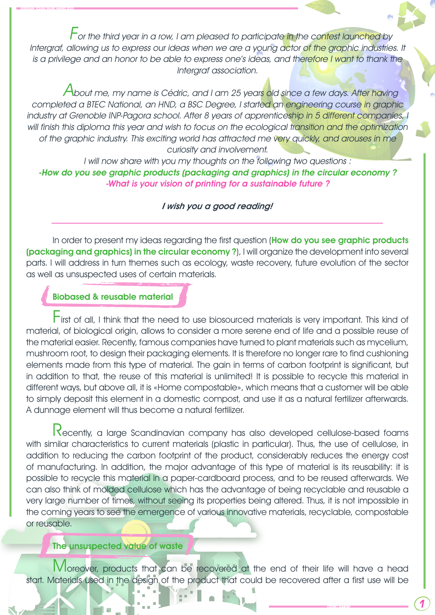For the third year in a row, I am pleased to participate in the contest launched by Intergraf, allowing us to express our ideas when we are a young actor of the graphic industries. It is a privilege and an honor to be able to express one's ideas, and therefore I want to thank the Intergraf association.

About me, my name is Cédric, and I am 25 years old since a few days. After having completed a BTEC National, an HND, a BSC Degree, I started an engineering course in graphic industry at Grenoble INP-Pagora school. After 8 years of apprenticeship in 5 different companies, I will finish this diploma this year and wish to focus on the ecological transition and the optimization of the graphic industry. This exciting world has attracted me very quickly, and arouses in me curiosity and involvement.

I will now share with you my thoughts on the following two questions : -How do you see graphic products (packaging and graphics) in the circular economy ? -What is your vision of printing for a sustainable future ?

#### I wish you a good reading!

In order to present my ideas regarding the first question (How do you see graphic products (packaging and graphics) in the circular economy ?), I will organize the development into several parts. I will address in turn themes such as ecology, waste recovery, future evolution of the sector as well as unsuspected uses of certain materials.

### Biobased & reusable material

INTERGRAF YOUNG TALENT AWARD 2022

First of all, I think that the need to use biosourced materials is very important. This kind of material, of biological origin, allows to consider a more serene end of life and a possible reuse of the material easier. Recently, famous companies have turned to plant materials such as mycelium, mushroom root, to design their packaging elements. It is therefore no longer rare to find cushioning elements made from this type of material. The gain in terms of carbon footprint is significant, but in addition to that, the reuse of this material is unlimited! It is possible to recycle this material in different ways, but above all, it is «Home compostable», which means that a customer will be able to simply deposit this element in a domestic compost, and use it as a natural fertilizer afterwards. A dunnage element will thus become a natural fertilizer.

Recently, a large Scandinavian company has also developed cellulose-based foams with similar characteristics to current materials (plastic in particular). Thus, the use of cellulose, in addition to reducing the carbon footprint of the product, considerably reduces the energy cost of manufacturing. In addition, the major advantage of this type of material is its reusability: it is possible to recycle this material in a paper-cardboard process, and to be reused afterwards. We can also think of molded cellulose which has the advantage of being recyclable and reusable a very large number of times, without seeing its properties being altered. Thus, it is not impossible in the coming years to see the emergence of various innovative materials, recyclable, compostable or reusable.

#### The unsuspected value of waste

Moreover, products that can be recovered at the end of their life will have a head start. Materials used in the design of the product that could be recovered after a first use will be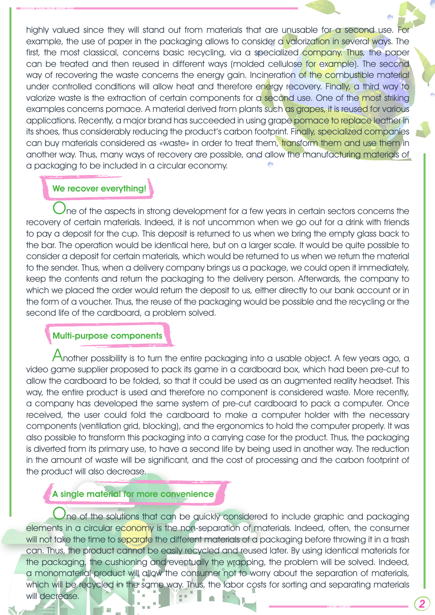highly valued since they will stand out from materials that are unusable for a second use. For example, the use of paper in the packaging allows to consider a valorization in several ways. The first, the most classical, concerns basic recycling, via a specialized company. Thus, the paper can be treated and then reused in different ways (molded cellulose for example). The second way of recovering the waste concerns the energy gain. Incineration of the combustible material under controlled conditions will allow heat and therefore energy recovery. Finally, a third way to valorize waste is the extraction of certain components for a second use. One of the most striking examples concerns pomace. A material derived from plants such as grapes, it is reused for various applications. Recently, a major brand has succeeded in using grape pomace to replace leather in its shoes, thus considerably reducing the product's carbon footprint. Finally, specialized companies can buy materials considered as «waste» in order to treat them, transform them and use them in another way. Thus, many ways of recovery are possible, and allow the manufacturing materials of a packaging to be included in a circular economy.

## We recover everything!

INTERGRAF YOUNG TALENT AWARD 2022

 $\lambda$ ne of the aspects in strong development for a few years in certain sectors concerns the recovery of certain materials. Indeed, it is not uncommon when we go out for a drink with friends to pay a deposit for the cup. This deposit is returned to us when we bring the empty glass back to the bar. The operation would be identical here, but on a larger scale. It would be quite possible to consider a deposit for certain materials, which would be returned to us when we return the material to the sender. Thus, when a delivery company brings us a package, we could open it immediately, keep the contents and return the packaging to the delivery person. Afterwards, the company to which we placed the order would return the deposit to us, either directly to our bank account or in the form of a voucher. Thus, the reuse of the packaging would be possible and the recycling or the second life of the cardboard, a problem solved.

#### Multi-purpose components

Another possibility is to turn the entire packaging into a usable object. A few years ago, a video game supplier proposed to pack its game in a cardboard box, which had been pre-cut to allow the cardboard to be folded, so that it could be used as an augmented reality headset. This way, the entire product is used and therefore no component is considered waste. More recently, a company has developed the same system of pre-cut cardboard to pack a computer. Once received, the user could fold the cardboard to make a computer holder with the necessary components (ventilation grid, blocking), and the ergonomics to hold the computer properly. It was also possible to transform this packaging into a carrying case for the product. Thus, the packaging is diverted from its primary use, to have a second life by being used in another way. The reduction in the amount of waste will be significant, and the cost of processing and the carbon footprint of the product will also decrease.

## A single material for more convenience

Ine of the solutions that can be quickly considered to include graphic and packaging elements in a circular economy is the non-separation of materials. Indeed, often, the consumer will not take the time to separate the different materials of a packaging before throwing it in a trash can. Thus, the product cannot be easily recycled and reused later. By using identical materials for the packaging, the cushioning and eventually the wrapping, the problem will be solved. Indeed, a monomaterial product will allow the consumer not to worry about the separation of materials, which will be recycled in the same way. Thus, the labor costs for sorting and separating materials will decrease.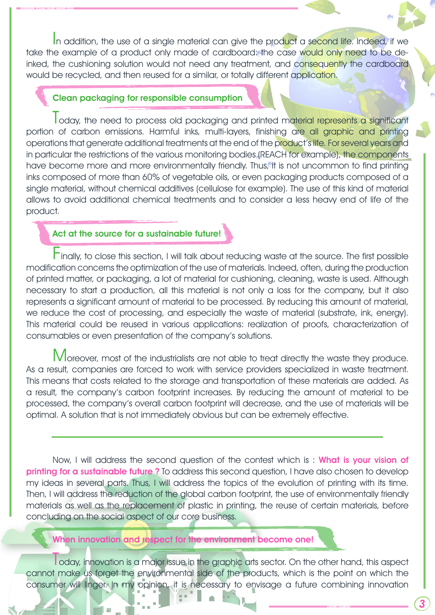In addition, the use of a single material can give the product a second life. Indeed, if we take the example of a product only made of cardboard: the case would only need to be deinked, the cushioning solution would not need any treatment, and consequently the cardboard would be recycled, and then reused for a similar, or totally different application.

#### Clean packaging for responsible consumption

INTERGRAF YOUNG TALENT AWARD 2022

Today, the need to process old packaging and printed material represents a significant portion of carbon emissions. Harmful inks, multi-layers, finishing are all graphic and printing operations that generate additional treatments at the end of the product's life. For several years and in particular the restrictions of the various monitoring bodies (REACH for example), the components have become more and more environmentally friendly. Thus, it is not uncommon to find printing inks composed of more than 60% of vegetable oils, or even packaging products composed of a single material, without chemical additives (cellulose for example). The use of this kind of material allows to avoid additional chemical treatments and to consider a less heavy end of life of the product.

## Act at the source for a sustainable future!

Finally, to close this section, I will talk about reducing waste at the source. The first possible modification concerns the optimization of the use of materials. Indeed, often, during the production of printed matter, or packaging, a lot of material for cushioning, cleaning, waste is used. Although necessary to start a production, all this material is not only a loss for the company, but it also represents a significant amount of material to be processed. By reducing this amount of material, we reduce the cost of processing, and especially the waste of material (substrate, ink, energy). This material could be reused in various applications: realization of proofs, characterization of consumables or even presentation of the company's solutions.

Moreover, most of the industrialists are not able to treat directly the waste they produce. As a result, companies are forced to work with service providers specialized in waste treatment. This means that costs related to the storage and transportation of these materials are added. As a result, the company's carbon footprint increases. By reducing the amount of material to be processed, the company's overall carbon footprint will decrease, and the use of materials will be optimal. A solution that is not immediately obvious but can be extremely effective.

Now, I will address the second question of the contest which is: What is your vision of printing for a sustainable future? To address this second question, I have also chosen to develop my ideas in several parts. Thus, I will address the topics of the evolution of printing with its time. Then, I will address the reduction of the global carbon footprint, the use of environmentally friendly materials as well as the replacement of plastic in printing, the reuse of certain materials, before concluding on the social aspect of our core business.

When innovation and respect for the environment become one!

oday, innovation is a major issue in the graphic arts sector. On the other hand, this aspect cannot make us forget the environmental side of the products, which is the point on which the consumer will linger. In my opinion, it is necessary to envisage a future combining innovation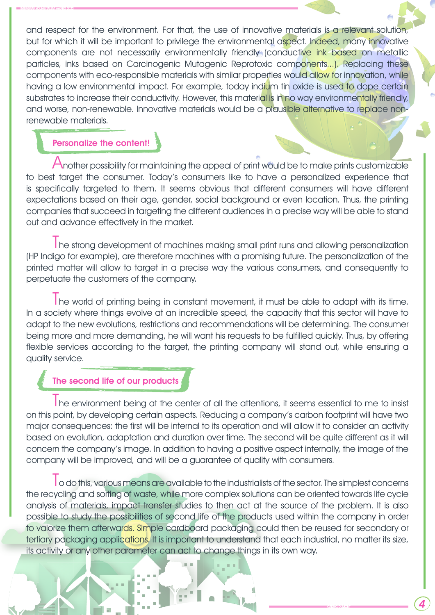INTERGRAF YOUNG TALENT AWARD 2022

and respect for the environment. For that, the use of innovative materials is a relevant solution, but for which it will be important to privilege the environmental aspect. Indeed, many innovative components are not necessarily environmentally friendly (conductive ink based on metallic particles, inks based on Carcinogenic Mutagenic Reprotoxic components...). Replacing these components with eco-responsible materials with similar properties would allow for innovation, while having a low environmental impact. For example, today indium tin oxide is used to dope certain substrates to increase their conductivity. However, this material is in no way environmentally friendly, and worse, non-renewable. Innovative materials would be a plausible alternative to replace nonrenewable materials.

## Personalize the content!

Another possibility for maintaining the appeal of print would be to make prints customizable to best target the consumer. Today's consumers like to have a personalized experience that is specifically targeted to them. It seems obvious that different consumers will have different expectations based on their age, gender, social background or even location. Thus, the printing companies that succeed in targeting the different audiences in a precise way will be able to stand out and advance effectively in the market.

The strong development of machines making small print runs and allowing personalization (HP Indigo for example), are therefore machines with a promising future. The personalization of the printed matter will allow to target in a precise way the various consumers, and consequently to perpetuate the customers of the company.

The world of printing being in constant movement, it must be able to adapt with its time. In a society where things evolve at an incredible speed, the capacity that this sector will have to adapt to the new evolutions, restrictions and recommendations will be determining. The consumer being more and more demanding, he will want his requests to be fulfilled quickly. Thus, by offering flexible services according to the target, the printing company will stand out, while ensuring a quality service.

# The second life of our products

The environment being at the center of all the attentions, it seems essential to me to insist on this point, by developing certain aspects. Reducing a company's carbon footprint will have two major consequences: the first will be internal to its operation and will allow it to consider an activity based on evolution, adaptation and duration over time. The second will be quite different as it will concern the company's image. In addition to having a positive aspect internally, the image of the company will be improved, and will be a guarantee of quality with consumers.

**I** o do this, various means are available to the industrialists of the sector. The simplest concerns the recycling and sorting of waste, while more complex solutions can be oriented towards life cycle analysis of materials, impact transfer studies to then act at the source of the problem. It is also possible to study the possibilities of second life of the products used within the company in order to valorize them afterwards. Simple cardboard packaging could then be reused for secondary or tertiary packaging applications. It is important to understand that each industrial, no matter its size, its activity or any other parameter can act to change things in its own way.